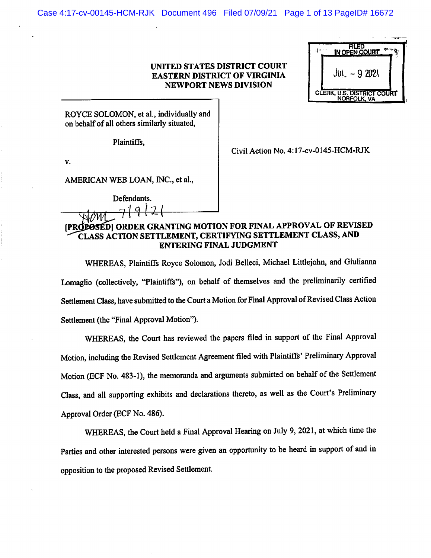## UNITED STATES DISTRICT COURT EASTERN DISTRICT OF VIRGINIA NEWPORT NEWS DIVISION

| FILED<br>IN OPEN COURT     |
|----------------------------|
| JUI<br>$-92021$            |
| CLERK, U.S. DISTRICT COURT |

ROYCE SOLOMON, et al., individually and on behalf of all others similarly situated,

Plaintiffs,

V.

Civil Action No. 4:17-cv-0145-HCM-RJK

AMERICAN WEB LOAN, INC., et al..

| Defendants.    |  |
|----------------|--|
| $4 \times 1 -$ |  |

# [PROPOSED] ORDER GRANTING MOTION FOR FINAL APPROVAL OF REVISED CLASS ACTION SETTLEMENT, CERTIFYING SETTLEMENT CLASS, AND ENTERING FINAL JUDGMENT

WHEREAS, Plaintiffs Royce Solomon, Jodi Belleci, Michael Littlejohn, and Giulianna Lomaglio (collectively, "Plaintiffs"), on behalf of themselves and the preliminarily certified Settlement Class, have submitted to the Court a Motion for Final Approval of Revised Class Action Settlement (the "Final Approval Motion").

WHEREAS, the Court has reviewed the papers filed in support of the Final Approval Motion, including the Revised Settlement Agreement filed with Plaintiffs' Preliminary Approval Motion (ECF No. 483-1), the memoranda and arguments submitted on behalf of the Settlement Class, and all supporting exhibits and declarations thereto, as well as the Court's Preliminary Approval Order (ECF No. 486).

WHEREAS, the Court held a Final Approval Hearing on July 9, 2021, at which time the Parties and other interested persons were given an opportunity to be heard in support of and in opposition to the proposed Revised Settlement.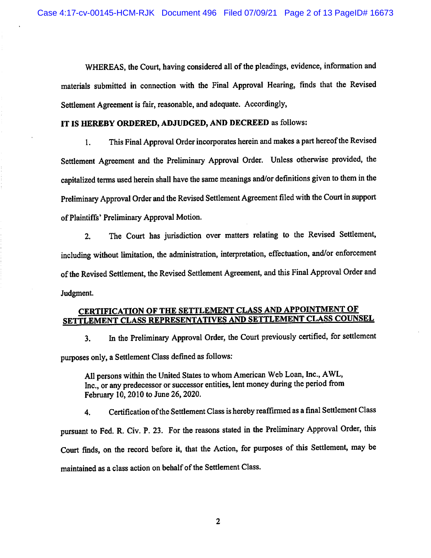WHEREAS, the Court, having considered all of the pleadings, evidence, information and materials submitted in connection with the Final Approval Hearing, finds that the Revised Settlement Agreement is fair, reasonable, and adequate. Accordingly,

## IT IS HEREBY ORDERED, ADJUDGED, AND DECREED as follows:

1. This Final Approval Order incorporates herein and makes a part hereof the Revised Settlement Agreement and the Preliminary Approval Order. Unless otherwise provided, the capitalized terms used herein shall have the same meanings and/or definitions given to them in the Preliminary Approval Order and the Revised Settlement Agreement filed with the Court in support of Plaintiffs' Preliminary Approval Motion.

2. The Court has jurisdiction over matters relating to the Revised Settlement, including without limitation, the administration, interpretation, effectuation, and/or enforcement of the Revised Settlement, the Revised Settlement Agreement, and this Final Approval Order and Judgment.

## CERTIFICATION OF THE SETTLEMENT CLASS AND APPOINTMENT OF SETTLEMENT CLASS REPRESENTATIVES AND SETTLEMENT CLASS COUNSEL

3. In the Preliminary Approval Order, the Court previously certified, for settlement purposes only, a Settlement Class defined as follows:

All persons within the United States to whom American Web Loan, Inc., AWL, Inc., or any predecessor or successor entities, lent money during the period from February 10,2010 to June 26,2020.

4. Certification of the Settlement Class is hereby reaffirmed as a final Settlement Class pursuant to Fed. R. Civ. P. 23. For the reasons stated in the Preliminary Approval Order, this Court finds, on the record before it, that the Action, for purposes of this Settlement, may be maintained as a class action on behalf of the Settlement Class.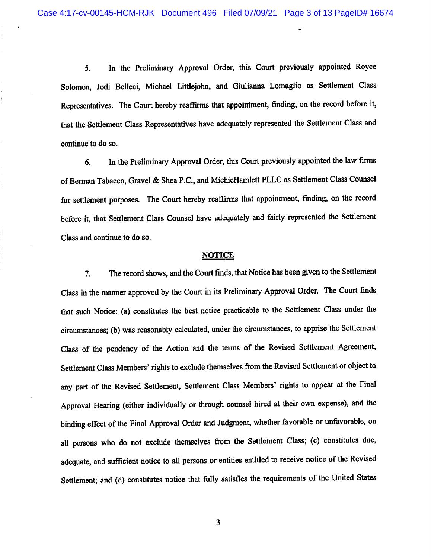5. In the Preliminary Approval Order, this Court previously appointed Royce Solomon, Jodi Belleci, Michael Littlejohn, and Giulianna Lomaglio as Settlement Class Representatives. The Court hereby reaffirms that appointment, finding, on the record before it, that the Settlement Class Representatives have adequately represented the Settlement Class and continue to do so.

6. In the Preliminary Approval Order, this Court previously appointed the law firms of Berman Tabacco, Gravel & Shea P.C., and MichieHamlett PLLC as Settlement Class Counsel for settlement purposes. The Court hereby reaffirms that appointment, finding, on the record before it, that Settlement Class Counsel have adequately and fairly represented the Settlement Class and continue to do so.

## **NOTICE**

7. The record shows, and the Court finds, that Notice has been given to the Settlement Class in the manner approved by the Court in its Preliminary Approval Order. The Court finds that such Notice: (a) constitutes the best notice practicable to the Settlement Class under the circumstances; (b) was reasonably calculated, under the circumstances, to apprise the Settlement Class of the pendency of the Action and the terms of the Revised Settlement Agreement, Settlement Class Members' rights to exclude themselves from the Revised Settlement or object to any part of the Revised Settlement, Settlement Class Members' rights to appear at the Final Approval Hearing (either individually or through counsel hired at their own expense), and the binding effect of the Final Approval Order and Judgment, whether favorable or unfavorable, on all persons who do not exclude themselves from the Settlement Class; (c) constitutes due, adequate, and sufficient notice to all persons or entities entitled to receive notice of the Revised Settlement; and (d) constitutes notice that fully satisfies the requirements of the United States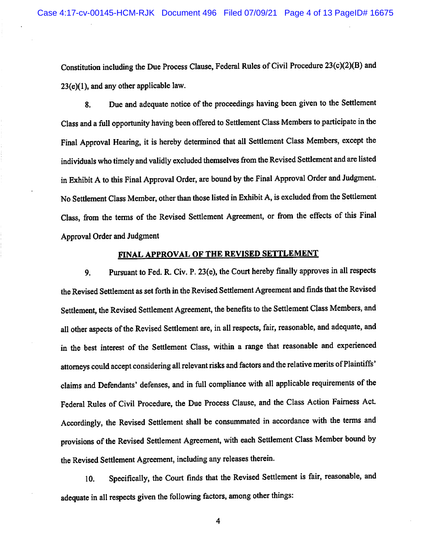Constitution including the Due Process Clause, Federal Rules of Civil Procedure 23(c)(2)(B) and 23(e)(1), and any other applicable law.

8. Due and adequate notice of the proceedings having been given to the Settlement Class and a full opportunity having been offered to Settlement Class Members to participate in the Final Approval Hearing, it is hereby determined that all Settlement Class Members, except the individuals who timely and validly excluded themselves from the Revised Settlement and are listed in Exhibit A to this Final Approval Order, are bound by the Final Approval Order and Judgment. No Settlement Class Member, other than those listed in Exhibit A, is excluded from the Settlement Class, from the terms of the Revised Settlement Agreement, or from the effects of this Final Approval Order and Judgment

# FINAL APPROVAL OF THE REVISED SETTLEMENT

9. Pursuant to Fed. R. Civ. P. 23(e), the Court hereby finally approves in all respects the Revised Settlement as set forth in the Revised Settlement Agreement and finds that the Revised Settlement, the Revised Settlement Agreement, the benefits to the Settlement Class Members, and all other aspects of the Revised Settlement are, in all respects, fair, reasonable, and adequate, and in the best interest of the Settlement Class, within a range that reasonable and experienced attomeys could accept considering all relevant risks and factors and the relative merits of Plaintiffs' claims and Defendants' defenses, and in full compliance with all applicable requirements of the Federal Rules of Civil Procedure, the Due Process Clause, and the Class Action Fairness Act. Accordingly, the Revised Settlement shall be consummated in accordance with the terms and provisions of the Revised Settlement Agreement, with each Settlement Class Member bound by the Revised Settlement Agreement, including any releases therein.

10. Specifically, the Court finds that the Revised Settlement is fair, reasonable, and adequate in all respects given the following factors, among other things:

 $\overline{4}$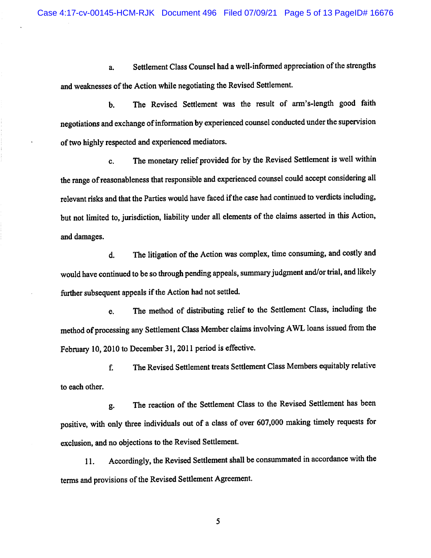a. Settlement Class Counsel had a well-informed appreciation of the strengths and weaknesses of the Action while negotiating the Revised Settlement.

b. The Revised Settlement was the result of arm's-length good faith negotiations and exchange of information by experienced counsel conducted under the supervision of two highly respected and experienced mediators.

c. The monetary relief provided for by the Revised Settlement is well within the range of reasonableness that responsible and experienced counsel could accept considering all relevant risks and that the Parties would have faced if the case had continued to verdicts including, but not limited to, jurisdiction, liability under all elements of the claims asserted in this Action, and damages.

d. The litigation of the Action was complex, time consuming, and costly and would have continued to be so through pending appeals, summary judgment and/or trial, and likely further subsequent appeals if the Action had not settled.

e. The method of distributing relief to the Settlement Class, including the method of processing any Settlement Class Member claims involving AWL loans issued from the February 10, 2010 to December 31, 2011 period is effective.

f. The Revised Settlement treats Settlement Class Members equitably relative to each other.

g. The reaction of the Settlement Class to the Revised Settlement has been positive, with only three individuals out of a class of over 607,000 making timely requests for exclusion, and no objections to the Revised Settlement.

11. Accordingly, the Revised Settlement shall be consummated in accordance with the terms and provisions of the Revised Settlement Agreement.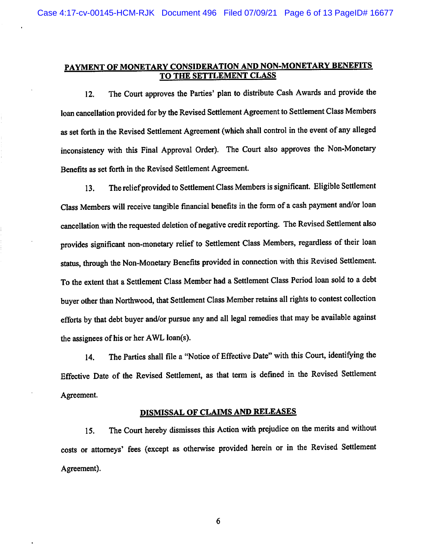## PAYMENT OF MONETARY CONSIDERATION AND NON-MONETARY BENEFITS TO THE SETTLEMENT CLASS

12. The Court approves the Parties' plan to distribute Cash Awards and provide the loan cancellation provided for by the Revised Settlement Agreement to Settlement Class Members as set forth in the Revised Settlement Agreement (which shall control in the event of any alleged inconsistency with this Final Approval Order). The Court also approves the Non-Monetary Benefits as set forth in the Revised Settlement Agreement.

13. The reliefprovided to Settlement Class Members is significant. Eligible Settlement Class Members will receive tangible financial benefits in the form of a cash payment and/or loan cancellation with the requested deletion of negative credit reporting. The Revised Settlement also provides significant non-monetary relief to Settlement Class Members, regardless of their loan status, through the Non-Monetary Benefits provided in connection with this Revised Settlement. To the extent that a Settlement Class Member had a Settlement Class Period loan sold to a debt buyer other than Northwood, that Settlement Class Member retains all rights to contest collection efforts by that debt buyer and/or pursue any and all legal remedies that may be available against the assignees of his or her AWL loan(s).

14. The Parties shall file a "Notice of Effective Date" with this Court, identifying the Effective Date of the Revised Settlement, as that term is defined in the Revised Settlement Agreement.

## DISMISSAL OF CLAIMS AND RELEASES

15. The Court hereby dismisses this Action with prejudice on the merits and without costs or attorneys' fees (except as otherwise provided herein or in the Revised Settlement Agreement).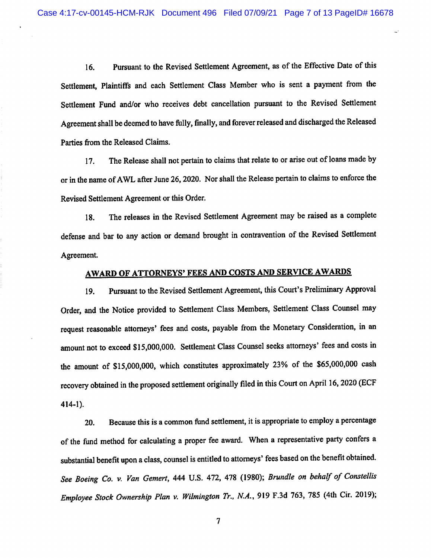16. Pursuant to the Revised Settlement Agreement, as of the Effective Date of this Settlement, Plaintiffs and each Settlement Class Member who is sent a payment from the Settlement Fund and/or who receives debt cancellation pursuant to the Revised Settlement Agreement shall be deemed to have fully, finally, and forever released and discharged the Released Parties from the Released Claims.

17. The Release shall not pertain to claims that relate to or arise out of loans made by or in the name of AWL after June 26,2020. Nor shall the Release pertain to claims to enforce the Revised Settlement Agreement or this Order.

18. The releases in the Revised Settlement Agreement may be raised as a complete defense and bar to any action or demand brought in contravention of the Revised Settlement Agreement.

# AWARD OF ATTORNEYS' FEES AND COSTS AND SERVICE AWARDS

19. Pursuant to the Revised Settlement Agreement, this Court's Preliminary Approval Order, and the Notice provided to Settlement Class Members, Settlement Class Counsel may request reasonable attorneys' fees and costs, payable from the Monetary Consideration, in an amount not to exceed \$15,000,000. Settlement Class Counsel seeks attorneys' fees and costs in the amount of \$15,000,000, which constitutes approximately 23% of the \$65,000,000 cash recovery obtained in the proposed settlement originally filed in this Court on April 16,2020 (ECF 414-1).

20. Because this is a common fund settlement, it is appropriate to employ a percentage of the fund method for calculating a proper fee award. When a representative party confers a substantial benefit upon a class, counsel is entitled to attorneys' fees based on the benefit obtained. See Boeing Co. v. Van Gemert, 444 U.S. 472, 478 (1980); Brundle on behalf of Constellis Employee Stock Ownership Plan v. Wilmington Tr., N.A., 919 F.3d 763, 785 (4th Cir. 2019);

 $\overline{7}$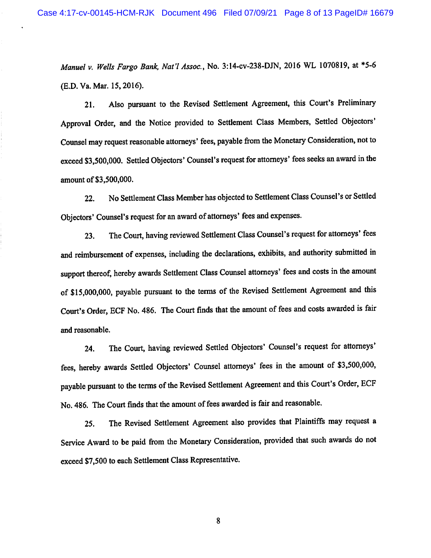Manuel v. Wells Fargo Bank, Nat'I Assoc., No. 3:14-cv-238-DJN, 2016 WL 1070819, at \*5-6 (E.D. Va. Mar. 15,2016).

21. Also pursuant to the Revised Settlement Agreement, this Court's Preliminary Approval Order, and the Notice provided to Settlement Class Members, Settled Objectors' Counsel may request reasonable attorneys' fees, payable from the Monetary Consideration, not to exceed S3,500,000. Settled Objectors' Counsel's request for attorneys' fees seeks an award in the amount of \$3,500,000.

22. No Settlement Class Member has objected to Settlement Class Counsel's or Settled Objectors' Counsel's request for an award of attorneys' fees and expenses.

23. The Court, having reviewed Settlement Class Counsel's request for attorneys' fees and reimbursement of expenses, including the declarations, exhibits, and authority submitted in support thereof, hereby awards Settlement Class Counsel attorneys' fees and costs in the amount of \$15,000,000, payable pursuant to the terms of the Revised Settlement Agreement and this Court's Order, ECF No. 486. The Court finds that the amount of fees and costs awarded is fair and reasonable.

24. The Court, having reviewed Settled Objectors' Counsel's request for attorneys' fees, hereby awards Settled Objectors' Counsel attorneys' fees in the amount of \$3,500,000, payable pursuant to the terms of the Revised Settlement Agreement and this Court's Order, ECF No. 486. The Court fmds that the amount of fees awarded is fair and reasonable.

25. The Revised Settlement Agreement also provides that Plaintiffs may request a Service Award to be paid from the Monetary Consideration, provided that such awards do not exceed \$7,500 to each Settlement Class Representative.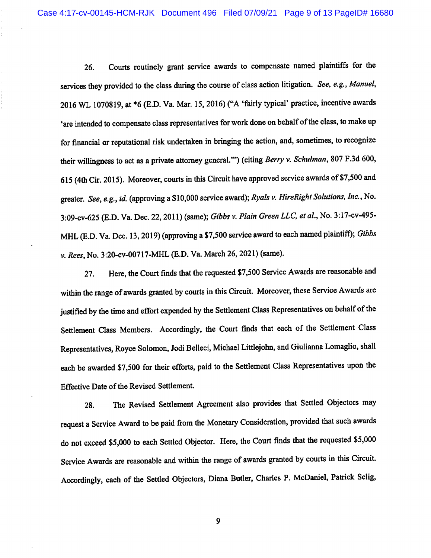26. Courts routinely grant service awards to compensate named plaintiffs for the services they provided to the class during the course of class action litigation. See, e.g., Manuel, 2016 WL 1070819, at \*6 (E.D. Va. Mar. 15,2016) ("A 'fairly typical' practice, incentive awards 'are intended to compensate class representatives for work done on behalf of the class, to make up for financial or reputational risk undertaken in bringing the action, and, sometimes, to recognize their willingness to act as a private attorney general."") (citing Berry v. Schulman, 807 F.3d 600, 615 (4th Cir. 2015). Moreover, courts in this Circuit have approved service awards of \$7,500 and greater. See, e.g., id. (approving a \$10,000 service award); Ryals v. HireRight Solutions, Inc., No. 3:09-cv-625 (E.D. Va. Dec. 22,2011) (same); Gibbs v. Plain Green LLC. et al. No. 3:17-cv-495- MHL (E.D. Va. Dec. 13,2019) (approving a \$7,500 service award to each named plaintiff); Gibbs V. Rees, No. 3:20-cv-00717-MHL (E.D. Va. March 26, 2021) (same).

27. Here, the Court finds that the requested \$7,500 Service Awards are reasonable and within the range of awards granted by courts in this Circuit. Moreover, these Service Awards are justified by the time and effort expended by the Settlement Class Representatives on behalf of the Settlement Class Members. Accordingly, the Court finds that each of the Settlement Class Representatives, Royce Solomon, Jodi Belleci, Michael Littlejohn, and Giulianna Lomaglio, shall each be awarded \$7,500 for their efforts, paid to the Settlement Class Representatives upon the Effective Date of the Revised Settlement.

28. The Revised Settlement Agreement also provides that Settled Objectors may request a Service Award to be paid from the Monetary Consideration, provided that such awards do not exceed \$5,000 to each Settled Objector. Here, the Court finds that the requested \$5,000 Service Awards are reasonable and within the range of awards granted by courts in this Circuit. Accordingly, each of the Settled Objectors, Diana Butler, Charles P. McDaniel, Patrick Selig,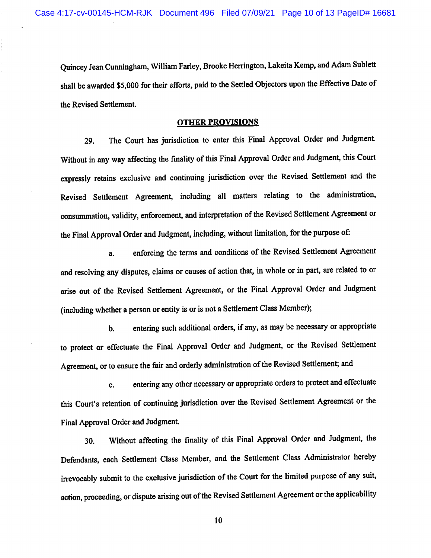Quincey Jean Cunningham, William Farley, Brooke Herrington, Lakeita Kemp, and Adam Sublett shall be awarded \$5,000 for their efforts, paid to the Settled Objectors upon the Effective Date of the Revised Settlement.

#### OTHER PROVISIONS

29. The Court has jurisdiction to enter this Final Approval Order and Judgment. Without in any way affecting the finality of this Final Approval Order and Judgment, this Court expressly retains exclusive and continuing jurisdiction over the Revised Settlement and the Revised Settlement Agreement, including all matters relating to the administration, consummation, validity, enforcement, and interpretation of the Revised Settlement Agreement or the Final Approval Order and Judgment, including, without limitation, for the purpose of:

a. enforcing the terms and conditions of the Revised Settlement Agreement and resolving any disputes, claims or causes of action that, in whole or in part, are related to or arise out of the Revised Settlement Agreement, or the Final Approval Order and Judgment (including whether a person or entity is or is not a Settlement Class Member);

b. entering such additional orders, if any, as may be necessary or appropriate to protect or effectuate the Final Approval Order and Judgment, or the Revised Settlement Agreement, or to ensure the fair and orderly administration of the Revised Settlement; and

c. entering any other necessary or appropriate orders to protect and effectuate this Court's retention of continuing jurisdiction over the Revised Settlement Agreement or the Final Approval Order and Judgment.

30. Without affecting the finality of this Final Approval Order and Judgment, the Defendants, each Settlement Class Member, and the Settlement Class Administrator hereby irrevocably submit to the exclusive jurisdiction of the Court for the limited purpose of any suit, action, proceeding, or dispute arising out of the Revised Settlement Agreement or the applicability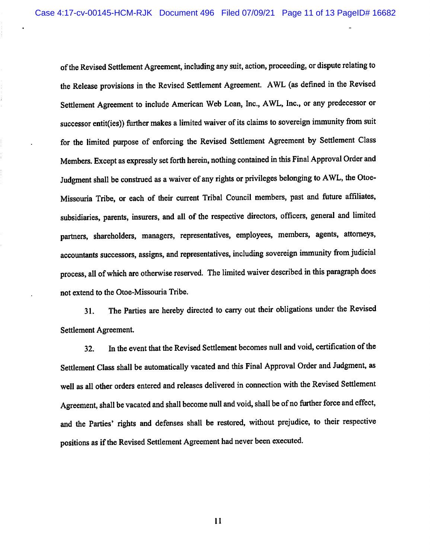of the Revised Settlement Agreement, including any suit, action, proceeding, or dispute relating to the Release provisions in the Revised Settlement Agreement. AWL (as defined in the Revised Settlement Agreement to include American Web Loan, Inc., AWL, Inc., or any predecessor or successor entit(ies)) further makes a limited waiver of its claims to sovereign immunity from suit for the limited purpose of enforcing the Revised Settlement Agreement by Settlement Class Members. Except as expressly set forth herein, nothing contained in this Final Approval Order and Judgment shall be construed as a waiver of any rights or privileges belonging to AWL, the Otoe-Missouria Tribe, or each of their current Tribal Council members, past and future affiliates, subsidiaries, parents, insurers, and all of the respective directors, officers, general and limited partners, shareholders, managers, representatives, employees, members, agents, attorneys, accountants successors, assigns, and representatives, including sovereign immunity from judicial process, all of which are otherwise reserved. The limited waiver described in this paragraph does not extend to the Otoe-Missouria Tribe.

31. The Parties are hereby directed to carry out their obligations under the Revised Settlement Agreement.

32. In the event that the Revised Settlement becomes null and void, certification of the Settlement Class shall be automatically vacated and this Final Approval Order and Judgment, as well as all other orders entered and releases delivered in connection with the Revised Settlement Agreement, shall be vacated and shall become null and void, shall be of no further force and effect, and the Parties' rights and defenses shall be restored, without prejudice, to their respective positions as if the Revised Settlement Agreement had never been executed.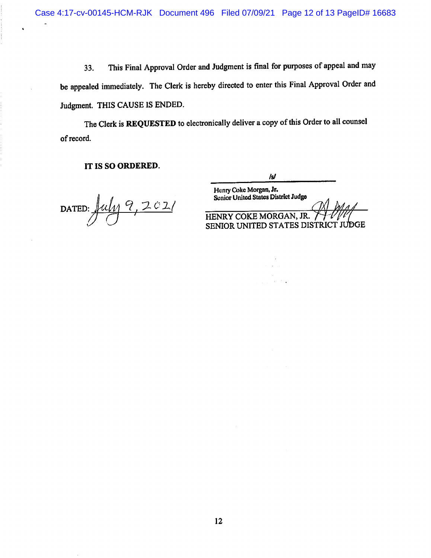33. This Final Approval Order and Judgment is final for purposes of appeal and may be appealed immediately. The Clerk is hereby directed to enter this Final Approval Order and Judgment. THIS CAUSE IS ENDED.

The Clerk is REQUESTED to electronically deliver a copy of this Order to all counsel of record.

## IT IS SO ORDERED.

DATED:  $\frac{u_{11}v_{1}+u_{12}}{2}$ 

/s/

Henry Coke Morgan, Jr. Senior United States District Judge

 HENRY COKE MORGAN, JR. SENIOR UNITED STATES DISTRICT JUDGE